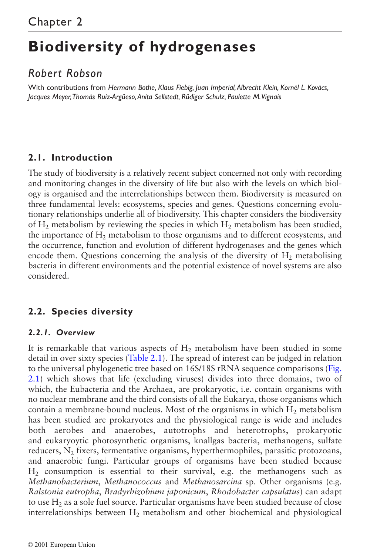# **Biodiversity of hydrogenases**

# *Robert Robson*

With contributions from *Hermann Bothe, Klaus Fiebig, Juan Imperial,Albrecht Klein, Kornél L. Kovács, Jacques Meyer,Thomás Ruiz-Argüeso,Anita Sellstedt, Rüdiger Schulz, Paulette M.Vignais*

# **2.1. Introduction**

The study of biodiversity is a relatively recent subject concerned not only with recording and monitoring changes in the diversity of life but also with the levels on which biology is organised and the interrelationships between them. Biodiversity is measured on three fundamental levels: ecosystems, species and genes. Questions concerning evolutionary relationships underlie all of biodiversity. This chapter considers the biodiversity of  $H_2$  metabolism by reviewing the species in which  $H_2$  metabolism has been studied, the importance of  $H_2$  metabolism to those organisms and to different ecosystems, and the occurrence, function and evolution of different hydrogenases and the genes which encode them. Questions concerning the analysis of the diversity of  $H_2$  metabolising bacteria in different environments and the potential existence of novel systems are also considered.

# **2.2. Species diversity**

## *2.2.1. Overview*

It is remarkable that various aspects of  $H_2$  metabolism have been studied in some detail in over sixty species ([Table 2.1\)](#page-1-0). The spread of interest can be judged in relation to the universal phylogenetic tree based on 16S/18S rRNA sequence comparisons ([Fig.](#page-3-0) [2.1\)](#page-3-0) which shows that life (excluding viruses) divides into three domains, two of which, the Eubacteria and the Archaea, are prokaryotic, i.e. contain organisms with no nuclear membrane and the third consists of all the Eukarya, those organisms which contain a membrane-bound nucleus. Most of the organisms in which  $H_2$  metabolism has been studied are prokaryotes and the physiological range is wide and includes both aerobes and anaerobes, autotrophs and heterotrophs, prokaryotic and eukaryoytic photosynthetic organisms, knallgas bacteria, methanogens, sulfate reducers,  $N_2$  fixers, fermentative organisms, hyperthermophiles, parasitic protozoans, and anaerobic fungi. Particular groups of organisms have been studied because H2 consumption is essential to their survival, e.g. the methanogens such as *Methanobacterium*, *Methanococcus* and *Methanosarcina* sp. Other organisms (e.g. *Ralstonia eutropha*, *Bradyrhizobium japonicum*, *Rhodobacter capsulatus*) can adapt to use  $H_2$  as a sole fuel source. Particular organisms have been studied because of close interrelationships between  $H_2$  metabolism and other biochemical and physiological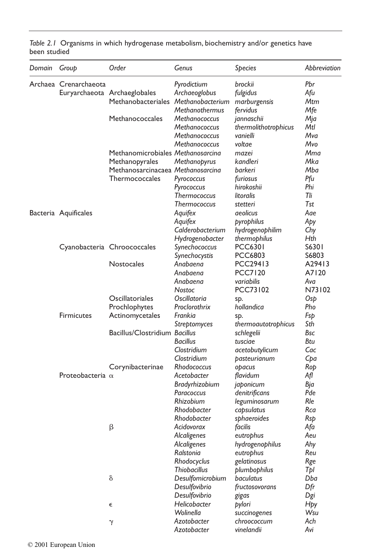| Domain | Group                   | Order                                               | Genus               | Species              | Abbreviation |
|--------|-------------------------|-----------------------------------------------------|---------------------|----------------------|--------------|
|        | Archaea Crenarchaeota   |                                                     | Pyrodictium         | brockii              | Pbr          |
|        |                         | Euryarchaeota Archaeglobales                        | Archaeoglobus       | fulgidus             | Afu          |
|        |                         | Methanobacteriales Methanobacterium                 |                     | marburgensis         | Mtm          |
|        |                         |                                                     | Methanothermus      | fervidus             | Mfe          |
|        |                         | Methanococcales                                     | Methanococcus       | jannaschii           | Mja          |
|        |                         |                                                     | Methanococcus       | thermolithotrophicus | Mtl          |
|        |                         |                                                     | Methanococcus       | vanielli             | Mva          |
|        |                         |                                                     | Methanococcus       | voltae               | Mvo          |
|        |                         | Methanomicrobiales Methanosarcina                   |                     | mazei                | Mma          |
|        |                         | Methanopyrales                                      | Methanopyrus        | kandleri             | Mka          |
|        |                         | Methanosarcinacaea Methanosarcina<br>Thermococcales |                     | barkeri              | Mba          |
|        |                         |                                                     | Pyrococcus          | furiosus             | Pfu          |
|        |                         |                                                     | Pyrococcus          | hirokoshii           | Phi          |
|        |                         |                                                     | Thermococcus        | litoralis            | Tli          |
|        |                         |                                                     | <b>Thermococcus</b> | stetteri             | Tst          |
|        | Bacteria Aquificales    |                                                     | Aquifex             | aeolicus             | Aae          |
|        |                         |                                                     | Aquifex             | pyrophilus           | Apy          |
|        |                         |                                                     | Calderobacterium    | hydrogenophilim      | Chy          |
|        |                         |                                                     | Hydrogenobacter     | thermophilus         | Hth          |
|        |                         | Cyanobacteria Chroococcales                         | Synechococcus       | <b>PCC6301</b>       | S6301        |
|        |                         |                                                     | Synechocystis       | PCC6803              | S6803        |
|        |                         | <b>Nostocales</b>                                   | Anabaena            | PCC29413             | A29413       |
|        |                         |                                                     | Anabaena            | <b>PCC7120</b>       | A7120        |
|        |                         |                                                     | Anabaena            | variabilis           | Ava          |
|        |                         |                                                     | Nostoc              | PCC73102             | N73102       |
|        |                         | Oscillatoriales                                     | Oscillatoria        | SD.                  | Osp          |
|        |                         | Prochlophytes                                       | Proclorothrix       | hollandica           | Pho          |
|        | <b>Firmicutes</b>       | Actinomycetales                                     | Frankia             | Sp.                  | Fsp          |
|        |                         |                                                     | Streptomyces        | thermoautotrophicus  | Sth          |
|        |                         | Bacillus/Clostridium Bacillus                       |                     | schlegelii           | Bsc          |
|        |                         |                                                     | Bacillus            | tusciae              | Btu          |
|        |                         |                                                     | Clostridium         | acetobutylicum       | Cac          |
|        |                         |                                                     | Clostridium         | pasteurianum         | Cpa          |
|        |                         | Corynibacterinae                                    | Rhodococcus         | opacus               | Rop          |
|        | Proteobacteria $\alpha$ |                                                     | Acetobacter         | flavidum             | Afl          |
|        |                         |                                                     | Bradyrhizobium      | japonicum            | Bja          |
|        |                         |                                                     | Paracoccus          | denitrificans        | Pde          |
|        |                         |                                                     | Rhizobium           | leguminosarum        | <b>R</b> le  |
|        |                         |                                                     | Rhodobacter         | capsulatus           | Rca          |
|        |                         |                                                     | Rhodobacter         | sphaeroides          | Rsp          |
|        |                         | β                                                   | Acidovorax          | facilis              | Afa          |
|        |                         |                                                     | Alcaligenes         | eutrophus            | Aeu          |
|        |                         |                                                     | Alcaligenes         | hydrogenophilus      | Ahy          |
|        |                         |                                                     | Ralstonia           | eutrophus            | Reu          |
|        |                         |                                                     | Rhodocyclus         | gelatinosus          | Rge          |
|        |                         |                                                     | <b>Thiobacillus</b> | plumbophilus         | Tpl          |
|        |                         | $\delta$                                            | Desulfomicrobium    | baculatus            | Dba          |
|        |                         |                                                     | Desulfovibrio       | fructosovorans       | Dfr          |
|        |                         |                                                     | Desulfovibrio       | gigas                | Dgi          |
|        |                         | $\epsilon$                                          | Helicobacter        | pylori               | Hpy          |
|        |                         |                                                     | Wolinella           | succinogenes         | Wsu          |
|        |                         |                                                     | Azotobacter         | chroococcum          | Ach          |
|        |                         | $\gamma$                                            | Azotobacter         | vinelandii           | Avi          |
|        |                         |                                                     |                     |                      |              |

<span id="page-1-0"></span>*Table 2.1* Organisms in which hydrogenase metabolism, biochemistry and/or genetics have been studied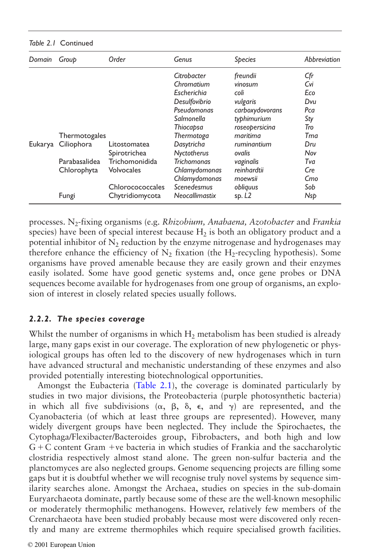| Domain  | Group         | Order            | Genus              | <b>Species</b>     | Abbreviation |
|---------|---------------|------------------|--------------------|--------------------|--------------|
|         |               |                  | Citrobacter        | freundii           | Cfr          |
|         |               |                  | Chromatium         | vinosum            | Cvi          |
|         |               |                  | Escherichia        | coli               | Eco          |
|         |               |                  | Desulfovibrio      | vulgaris           | Dvu          |
|         |               |                  | Pseudomonas        | carboxydovorans    | Pca          |
|         |               |                  | Salmonella         | tybhimurium        | Sty          |
|         |               |                  | Thiocapsa          | roseopersicina     | Tro          |
|         | Thermotogales |                  | <b>Thermotoga</b>  | maritima           | Tma          |
| Eukarya | Ciliophora    | Litostomatea     | Dasytricha         | ruminantium        | Dru          |
|         |               | Spirotrichea     | Nyctotherus        | ovalis             | Nov          |
|         | Parabasalidea | Trichomonidida   | <b>Trichomonas</b> | vaginalis          | Tva          |
|         | Chlorophyta   | Volvocales       | Chlamydomonas      | reinhardtii        | Cre          |
|         |               |                  | Chlamydomonas      | moewsii            | Cmo          |
|         |               | Chlorocococcales | Scenedesmus        | obliguus           | Sob          |
|         | Fungi         | Chytridiomycota  | Neocallimastix     | sp. L <sub>2</sub> | Nsp          |

*Table 2.1* Continued

processes. N2-fixing organisms (e.g. *Rhizobium, Anabaena, Azotobacter* and *Frankia* species) have been of special interest because  $H_2$  is both an obligatory product and a potential inhibitor of  $\overline{N}_2$  reduction by the enzyme nitrogenase and hydrogenases may therefore enhance the efficiency of  $N_2$  fixation (the H<sub>2</sub>-recycling hypothesis). Some organisms have proved amenable because they are easily grown and their enzymes easily isolated. Some have good genetic systems and, once gene probes or DNA sequences become available for hydrogenases from one group of organisms, an explosion of interest in closely related species usually follows.

#### *2.2.2. The species coverage*

Whilst the number of organisms in which  $H_2$  metabolism has been studied is already large, many gaps exist in our coverage. The exploration of new phylogenetic or physiological groups has often led to the discovery of new hydrogenases which in turn have advanced structural and mechanistic understanding of these enzymes and also provided potentially interesting biotechnological opportunities.

Amongst the Eubacteria ([Table 2.1](#page-1-0)), the coverage is dominated particularly by studies in two major divisions, the Proteobacteria (purple photosynthetic bacteria) in which all five subdivisions  $(\alpha, \beta, \delta, \epsilon, \text{ and } \gamma)$  are represented, and the Cyanobacteria (of which at least three groups are represented). However, many widely divergent groups have been neglected. They include the Spirochaetes, the Cytophaga/Flexibacter/Bacteroides group, Fibrobacters, and both high and low G + C content Gram +ve bacteria in which studies of Frankia and the saccharolytic clostridia respectively almost stand alone. The green non-sulfur bacteria and the planctomyces are also neglected groups. Genome sequencing projects are filling some gaps but it is doubtful whether we will recognise truly novel systems by sequence similarity searches alone. Amongst the Archaea, studies on species in the sub-domain Euryarchaeota dominate, partly because some of these are the well-known mesophilic or moderately thermophilic methanogens. However, relatively few members of the Crenarchaeota have been studied probably because most were discovered only recently and many are extreme thermophiles which require specialised growth facilities.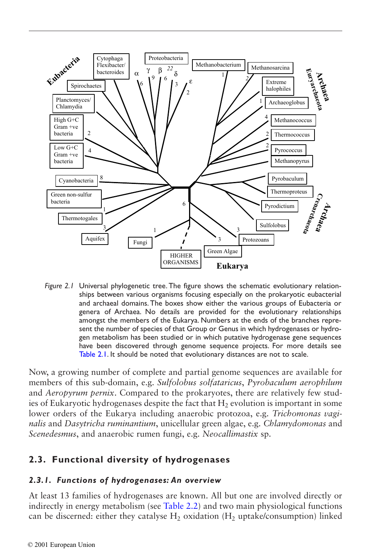<span id="page-3-0"></span>

*Figure 2.1* Universal phylogenetic tree. The figure shows the schematic evolutionary relationships between various organisms focusing especially on the prokaryotic eubacterial and archaeal domains. The boxes show either the various groups of Eubacteria or genera of Archaea. No details are provided for the evolutionary relationships amongst the members of the Eukarya. Numbers at the ends of the branches represent the number of species of that Group or Genus in which hydrogenases or hydrogen metabolism has been studied or in which putative hydrogenase gene sequences have been discovered through genome sequence projects. For more details see [Table 2.1.](#page-1-0) It should be noted that evolutionary distances are not to scale.

Now, a growing number of complete and partial genome sequences are available for members of this sub-domain, e.g. *Sulfolobus solfataricus*, *Pyrobaculum aerophilum* and *Aeropyrum pernix*. Compared to the prokaryotes, there are relatively few studies of Eukaryotic hydrogenases despite the fact that  $H_2$  evolution is important in some lower orders of the Eukarya including anaerobic protozoa, e.g. *Trichomonas vaginalis* and *Dasytricha ruminantium*, unicellular green algae, e.g. *Chlamydomonas* and *Scenedesmus*, and anaerobic rumen fungi, e.g. *Neocallimastix* sp.

# **2.3. Functional diversity of hydrogenases**

#### *2.3.1. Functions of hydrogenases: An overview*

At least 13 families of hydrogenases are known. All but one are involved directly or indirectly in energy metabolism (see [Table 2.2](#page-4-0)) and two main physiological functions can be discerned: either they catalyse  $H_2$  oxidation ( $H_2$  uptake/consumption) linked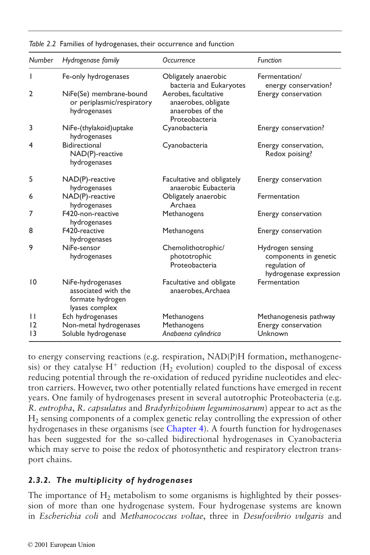| <b>Number</b>  | Hydrogenase family                                                             | Occurrence                                                                        | <b>Function</b>                                                                      |
|----------------|--------------------------------------------------------------------------------|-----------------------------------------------------------------------------------|--------------------------------------------------------------------------------------|
| I              | Fe-only hydrogenases                                                           | Obligately anaerobic<br>bacteria and Eukaryotes                                   | Fermentation/<br>energy conservation?                                                |
| $\overline{2}$ | NiFe(Se) membrane-bound<br>or periplasmic/respiratory<br>hydrogenases          | Aerobes, facultative<br>anaerobes, obligate<br>anaerobes of the<br>Proteobacteria | Energy conservation                                                                  |
| 3              | NiFe-(thylakoid)uptake<br>hydrogenases                                         | Cyanobacteria                                                                     | Energy conservation?                                                                 |
| 4              | Bidirectional<br>NAD(P)-reactive<br>hydrogenases                               | Cyanobacteria                                                                     | Energy conservation,<br>Redox poising?                                               |
| 5              | NAD(P)-reactive<br>hydrogenases                                                | Facultative and obligately<br>anaerobic Eubacteria                                | Energy conservation                                                                  |
| 6              | NAD(P)-reactive<br>hydrogenases                                                | Obligately anaerobic<br>Archaea                                                   | Fermentation                                                                         |
| 7              | F420-non-reactive<br>hydrogenases                                              | Methanogens                                                                       | Energy conservation                                                                  |
| 8              | F420-reactive<br>hydrogenases                                                  | Methanogens                                                                       | Energy conservation                                                                  |
| 9              | NiFe-sensor<br>hydrogenases                                                    | Chemolithotrophic/<br>phototrophic<br>Proteobacteria                              | Hydrogen sensing<br>components in genetic<br>regulation of<br>hydrogenase expression |
| 10             | NiFe-hydrogenases<br>associated with the<br>formate hydrogen<br>lyases complex | Facultative and obligate<br>anaerobes. Archaea                                    | Fermentation                                                                         |
| $\mathbf{L}$   | Ech hydrogenases                                                               | Methanogens                                                                       | Methanogenesis pathway                                                               |
| 12<br>13       | Non-metal hydrogenases<br>Soluble hydrogenase                                  | Methanogens<br>Anabaena cylindrica                                                | Energy conservation<br>Unknown                                                       |

<span id="page-4-0"></span>*Table 2.2* Families of hydrogenases, their occurrence and function

to energy conserving reactions (e.g. respiration,  $NAD(P)H$  formation, methanogenesis) or they catalyse  $H^+$  reduction ( $H_2$  evolution) coupled to the disposal of excess reducing potential through the re-oxidation of reduced pyridine nucleotides and electron carriers. However, two other potentially related functions have emerged in recent years. One family of hydrogenases present in several autotrophic Proteobacteria (e.g. *R. eutropha*, *R. capsulatus* and *Bradyrhizobium leguminosarum*) appear to act as the H2 sensing components of a complex genetic relay controlling the expression of other hydrogenases in these organisms (see Chapter 4). A fourth function for hydrogenases has been suggested for the so-called bidirectional hydrogenases in Cyanobacteria which may serve to poise the redox of photosynthetic and respiratory electron transport chains.

#### *2.3.2. The multiplicity of hydrogenases*

The importance of  $H_2$  metabolism to some organisms is highlighted by their possession of more than one hydrogenase system. Four hydrogenase systems are known in *Escherichia coli* and *Methanococcus voltae*, three in *Desufovibrio vulgaris* and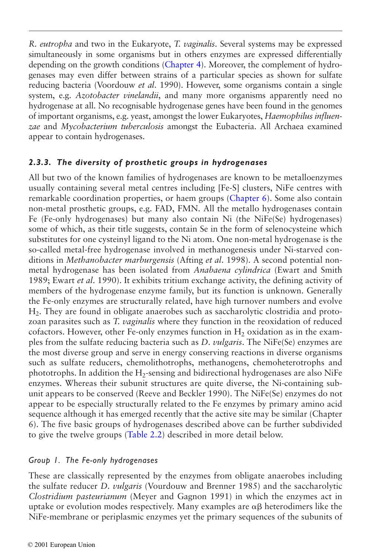*R. eutropha* and two in the Eukaryote, *T. vaginalis*. Several systems may be expressed simultaneously in some organisms but in others enzymes are expressed differentially depending on the growth conditions (Chapter 4). Moreover, the complement of hydrogenases may even differ between strains of a particular species as shown for sulfate reducing bacteria (Voordouw *et al*. 1990). However, some organisms contain a single system, e.g. *Azotobacter vinelandii*, and many more organisms apparently need no hydrogenase at all. No recognisable hydrogenase genes have been found in the genomes of important organisms, e.g. yeast, amongst the lower Eukaryotes, *Haemophilus influenzae* and *Mycobacterium tuberculosis* amongst the Eubacteria. All Archaea examined appear to contain hydrogenases.

## *2.3.3. The diversity of prosthetic groups in hydrogenases*

All but two of the known families of hydrogenases are known to be metalloenzymes usually containing several metal centres including [Fe-S] clusters, NiFe centres with remarkable coordination properties, or haem groups (Chapter 6). Some also contain non-metal prosthetic groups, e.g. FAD, FMN. All the metallo hydrogenases contain Fe (Fe-only hydrogenases) but many also contain Ni (the NiFe(Se) hydrogenases) some of which, as their title suggests, contain Se in the form of selenocysteine which substitutes for one cysteinyl ligand to the Ni atom. One non-metal hydrogenase is the so-called metal-free hydrogenase involved in methanogenesis under Ni-starved conditions in *Methanobacter marburgensis* (Afting *et al*. 1998). A second potential nonmetal hydrogenase has been isolated from *Anabaena cylindrica* (Ewart and Smith 1989; Ewart *et al*. 1990). It exhibits tritium exchange activity, the defining activity of members of the hydrogenase enzyme family, but its function is unknown. Generally the Fe-only enzymes are structurally related, have high turnover numbers and evolve H2. They are found in obligate anaerobes such as saccharolytic clostridia and protozoan parasites such as *T. vaginalis* where they function in the reoxidation of reduced cofactors. However, other Fe-only enzymes function in  $H<sub>2</sub>$  oxidation as in the examples from the sulfate reducing bacteria such as *D. vulgaris*. The NiFe(Se) enzymes are the most diverse group and serve in energy conserving reactions in diverse organisms such as sulfate reducers, chemolithotrophs, methanogens, chemoheterotrophs and phototrophs. In addition the  $H_2$ -sensing and bidirectional hydrogenases are also NiFe enzymes. Whereas their subunit structures are quite diverse, the Ni-containing subunit appears to be conserved (Reeve and Beckler 1990). The NiFe(Se) enzymes do not appear to be especially structurally related to the Fe enzymes by primary amino acid sequence although it has emerged recently that the active site may be similar (Chapter 6). The five basic groups of hydrogenases described above can be further subdivided to give the twelve groups [\(Table 2.2\)](#page-4-0) described in more detail below.

#### *Group 1. The Fe-only hydrogenases*

These are classically represented by the enzymes from obligate anaerobes including the sulfate reducer *D. vulgaris* (Vourdouw and Brenner 1985) and the saccharolytic *Clostridium pasteurianum* (Meyer and Gagnon 1991) in which the enzymes act in uptake or evolution modes respectively. Many examples are  $\alpha\beta$  heterodimers like the NiFe-membrane or periplasmic enzymes yet the primary sequences of the subunits of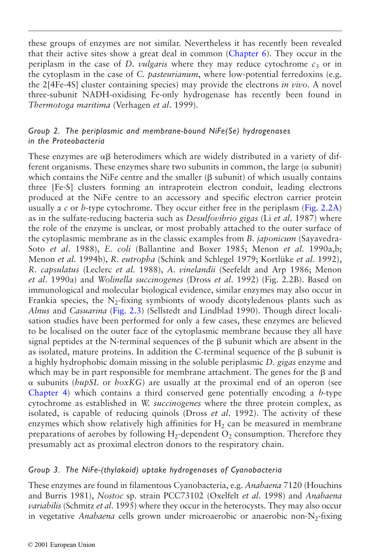these groups of enzymes are not similar. Nevertheless it has recently been revealed that their active sites show a great deal in common (Chapter  $6$ ). They occur in the periplasm in the case of *D. vulgaris* where they may reduce cytochrome  $c_3$  or in the cytoplasm in the case of *C. pasteurianum*, where low-potential ferredoxins (e.g. the 2[4Fe-4S] cluster containing species) may provide the electrons *in vivo*. A novel three-subunit NADH-oxidising Fe-only hydrogenase has recently been found in *Thermotoga maritima* (Verhagen *et al*. 1999).

## *Group 2. The periplasmic and membrane-bound NiFe(Se) hydrogenases in the Proteobacteria*

These enzymes are  $\alpha\beta$  heterodimers which are widely distributed in a variety of different organisms. These enzymes share two subunits in common, the large ( $\alpha$  subunit) which contains the NiFe centre and the smaller  $(\beta$  subunit) of which usually contains three [Fe-S] clusters forming an intraprotein electron conduit, leading electrons produced at the NiFe centre to an accessory and specific electron carrier protein usually a *c* or *b*-type cytochrome. They occur either free in the periplasm ([Fig. 2.2A\)](#page-7-0) as in the sulfate-reducing bacteria such as *Desulfovibrio gigas* (Li *et al*. 1987) where the role of the enzyme is unclear, or most probably attached to the outer surface of the cytoplasmic membrane as in the classic examples from *B. japonicum* (Sayavedra-Soto *et al*. 1988), *E. coli* (Ballantine and Boxer 1985; Menon *et al*. 1990a,b; Menon *et al*. 1994b), *R. eutropha* (Schink and Schlegel 1979; Kortlüke *et al*. 1992), *R. capsulatus* (Leclerc *et al*. 1988), *A. vinelandii* (Seefeldt and Arp 1986; Menon *et al*. 1990a) and *Wolinella succinogenes* (Dross *et al*. 1992) (Fig. 2.2B). Based on immunological and molecular biological evidence, similar enzymes may also occur in Frankia species, the  $N_2$ -fixing symbionts of woody dicotyledenous plants such as *Alnus* and *Casuarina* [\(Fig. 2.3\)](#page-10-0) (Sellstedt and Lindblad 1990). Though direct localisation studies have been performed for only a few cases, these enzymes are believed to be localised on the outer face of the cytoplasmic membrane because they all have signal peptides at the N-terminal sequences of the  $\beta$  subunit which are absent in the as isolated, mature proteins. In addition the C-terminal sequence of the  $\beta$  subunit is a highly hydrophobic domain missing in the soluble periplasmic *D. gigas* enzyme and which may be in part responsible for membrane attachment. The genes for the  $\beta$  and  $\alpha$  subunits (*hupSL* or *hoxKG*) are usually at the proximal end of an operon (see Chapter 4) which contains a third conserved gene potentially encoding a *b*-type cytochrome as established in *W. succinogenes* where the three protein complex, as isolated, is capable of reducing quinols (Dross *et al*. 1992). The activity of these enzymes which show relatively high affinities for  $H_2$  can be measured in membrane preparations of aerobes by following  $H_2$ -dependent  $O_2$  consumption. Therefore they presumably act as proximal electron donors to the respiratory chain.

#### *Group 3. The NiFe-(thylakoid) uptake hydrogenases of Cyanobacteria*

These enzymes are found in filamentous Cyanobacteria, e.g. *Anabaena* 7120 (Houchins and Burris 1981), *Nostoc* sp. strain PCC73102 (Oxelfelt *et al*. 1998) and *Anabaena variabilis* (Schmitz *et al*. 1995) where they occur in the heterocysts. They may also occur in vegetative *Anabaena* cells grown under microaerobic or anaerobic non-N<sub>2</sub>-fixing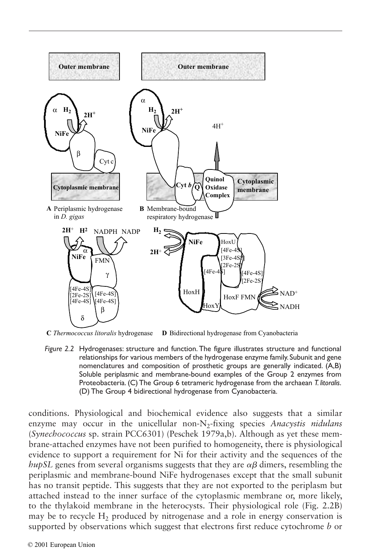<span id="page-7-0"></span>

**C** Thermococcus litoralis hydrogenase *D* Bidirectional hydrogenase from Cyanobacteria

*Figure 2.2* Hydrogenases: structure and function. The figure illustrates structure and functional relationships for various members of the hydrogenase enzyme family. Subunit and gene nomenclatures and composition of prosthetic groups are generally indicated. (A,B) Soluble periplasmic and membrane-bound examples of the Group 2 enzymes from Proteobacteria. (C) The Group 6 tetrameric hydrogenase from the archaean *T. litoralis*. (D) The Group 4 bidirectional hydrogenase from Cyanobacteria.

conditions. Physiological and biochemical evidence also suggests that a similar enzyme may occur in the unicellular non-N<sub>2</sub>-fixing species *Anacystis nidulans* (*Synechococcus* sp. strain PCC6301) (Peschek 1979a,b). Although as yet these membrane-attached enzymes have not been purified to homogeneity, there is physiological evidence to support a requirement for Ni for their activity and the sequences of the  $hupSL$  genes from several organisms suggests that they are  $\alpha\beta$  dimers, resembling the periplasmic and membrane-bound NiFe hydrogenases except that the small subunit has no transit peptide. This suggests that they are not exported to the periplasm but attached instead to the inner surface of the cytoplasmic membrane or, more likely, to the thylakoid membrane in the heterocysts. Their physiological role (Fig. 2.2B) may be to recycle  $H_2$  produced by nitrogenase and a role in energy conservation is supported by observations which suggest that electrons first reduce cytochrome *b* or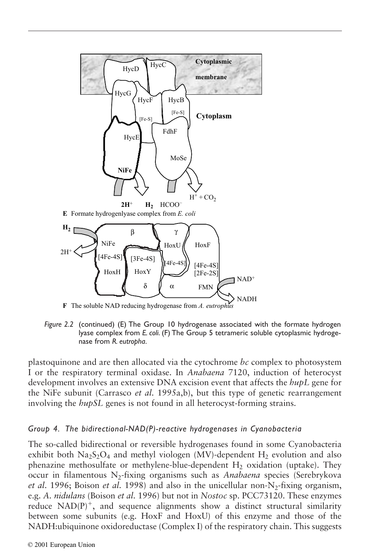<span id="page-8-0"></span>

*Figure 2.2* (continued) (E) The Group 10 hydrogenase associated with the formate hydrogen lyase complex from *E. coli*. (F) The Group 5 tetrameric soluble cytoplasmic hydrogenase from *R. eutropha*.

plastoquinone and are then allocated via the cytochrome *bc* complex to photosystem I or the respiratory terminal oxidase. In *Anabaena* 7120, induction of heterocyst development involves an extensive DNA excision event that affects the *hupL* gene for the NiFe subunit (Carrasco *et al*. 1995a,b), but this type of genetic rearrangement involving the *hupSL* genes is not found in all heterocyst-forming strains.

#### *Group 4. The bidirectional-NAD(P)-reactive hydrogenases in Cyanobacteria*

The so-called bidirectional or reversible hydrogenases found in some Cyanobacteria exhibit both  $Na<sub>2</sub>S<sub>2</sub>O<sub>4</sub>$  and methyl viologen (MV)-dependent  $H<sub>2</sub>$  evolution and also phenazine methosulfate or methylene-blue-dependent  $H_2$  oxidation (uptake). They occur in filamentous N<sub>2</sub>-fixing organisms such as *Anabaena* species (Serebrykova *et al.* 1996; Boison *et al.* 1998) and also in the unicellular non-N<sub>2</sub>-fixing organism, e.g. *A. nidulans* (Boison *et al*. 1996) but not in *Nostoc* sp. PCC73120. These enzymes reduce  $NAD(P)^+$ , and sequence alignments show a distinct structural similarity between some subunits (e.g. HoxF and HoxU) of this enzyme and those of the NADH:ubiquinone oxidoreductase (Complex I) of the respiratory chain. This suggests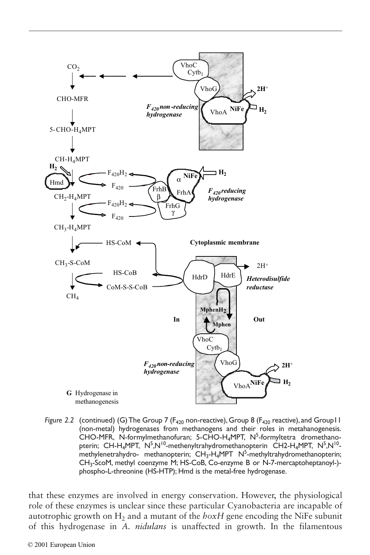<span id="page-9-0"></span>

*Figure 2.2* (continued) (G) The Group 7 ( $F_{420}$  non-reactive), Group 8 ( $F_{420}$  reactive), and Group I I (non-metal) hydrogenases from methanogens and their roles in metahanogenesis. CHO-MFR, N-formylmethanofuran; 5-CHO-H<sub>4</sub>MPT, N<sup>5</sup>-formyltetra dromethanopterin; CH-H<sub>4</sub>MPT, N<sup>5</sup>,N<sup>10</sup>-methenyltrahydromethanopterin CH2-H<sub>4</sub>MPT, N<sup>5</sup>,N<sup>10</sup>methylenetrahydro- methanopterin; CH<sub>3</sub>-H<sub>4</sub>MPT N<sup>5</sup>-methyltrahydromethanopterin; CH3-ScoM, methyl coenzyme M; HS-CoB, Co-enzyme B or N-7-mercaptoheptanoyl-) phospho-L-threonine (HS-HTP); Hmd is the metal-free hydrogenase.

that these enzymes are involved in energy conservation. However, the physiological role of these enzymes is unclear since these particular Cyanobacteria are incapable of autotrophic growth on  $H_2$  and a mutant of the *hoxH* gene encoding the NiFe subunit of this hydrogenase in *A. nidulans* is unaffected in growth. In the filamentous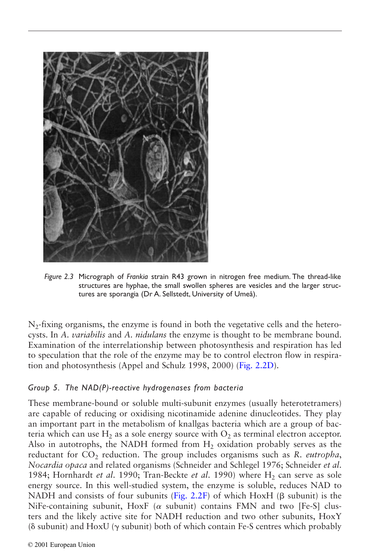<span id="page-10-0"></span>

*Figure 2.3* Micrograph of *Frankia* strain R43 grown in nitrogen free medium. The thread-like structures are hyphae, the small swollen spheres are vesicles and the larger structures are sporangia (Dr A. Sellstedt, University of Umeå).

 $N<sub>2</sub>$ -fixing organisms, the enzyme is found in both the vegetative cells and the heterocysts. In *A. variabilis* and *A. nidulans* the enzyme is thought to be membrane bound. Examination of the interrelationship between photosynthesis and respiration has led to speculation that the role of the enzyme may be to control electron flow in respiration and photosynthesis (Appel and Schulz 1998, 2000) [\(Fig. 2.2D](#page-7-0)).

#### *Group 5. The NAD(P)-reactive hydrogenases from bacteria*

These membrane-bound or soluble multi-subunit enzymes (usually heterotetramers) are capable of reducing or oxidising nicotinamide adenine dinucleotides. They play an important part in the metabolism of knallgas bacteria which are a group of bacteria which can use  $H_2$  as a sole energy source with  $O_2$  as terminal electron acceptor. Also in autotrophs, the NADH formed from  $H<sub>2</sub>$  oxidation probably serves as the reductant for CO<sub>2</sub> reduction. The group includes organisms such as *R. eutropha*, *Nocardia opaca* and related organisms (Schneider and Schlegel 1976; Schneider *et al*. 1984; Hornhardt *et al.* 1990; Tran-Beckte *et al.* 1990) where H<sub>2</sub> can serve as sole energy source. In this well-studied system, the enzyme is soluble, reduces NAD to NADH and consists of four subunits (Fig. [2.2F\)](#page-8-0) of which HoxH ( $\beta$  subunit) is the NiFe-containing subunit, HoxF ( $\alpha$  subunit) contains FMN and two [Fe-S] clusters and the likely active site for NADH reduction and two other subunits, HoxY ( $\delta$  subunit) and HoxU ( $\gamma$  subunit) both of which contain Fe-S centres which probably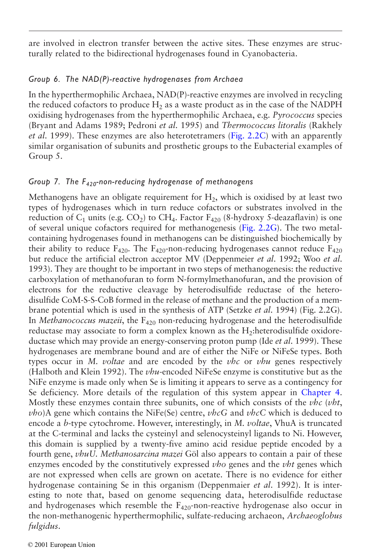are involved in electron transfer between the active sites. These enzymes are structurally related to the bidirectional hydrogenases found in Cyanobacteria.

#### *Group 6. The NAD(P)-reactive hydrogenases from Archaea*

In the hyperthermophilic Archaea, NAD(P)-reactive enzymes are involved in recycling the reduced cofactors to produce  $H_2$  as a waste product as in the case of the NADPH oxidising hydrogenases from the hyperthermophilic Archaea, e.g. *Pyrococcus* species (Bryant and Adams 1989; Pedroni *et al*. 1995) and *Thermococcus litoralis* (Rakhely *et al*. 1999). These enzymes are also heterotetramers [\(Fig. 2.2C\)](#page-7-0) with an apparently similar organisation of subunits and prosthetic groups to the Eubacterial examples of Group 5.

#### *Group 7. The F420-non-reducing hydrogenase of methanogens*

Methanogens have an obligate requirement for  $H_2$ , which is oxidised by at least two types of hydrogenases which in turn reduce cofactors or substrates involved in the reduction of  $C_1$  units (e.g.  $CO_2$ ) to  $CH_4$ . Factor  $F_{420}$  (8-hydroxy 5-deazaflavin) is one of several unique cofactors required for methanogenesis (Fig. [2.2G\)](#page-9-0). The two metalcontaining hydrogenases found in methanogens can be distinguished biochemically by their ability to reduce  $F_{420}$ . The  $F_{420}$ -non-reducing hydrogenases cannot reduce  $F_{420}$ but reduce the artificial electron acceptor MV (Deppenmeier *et al*. 1992; Woo *et al*. 1993). They are thought to be important in two steps of methanogenesis: the reductive carboxylation of methanofuran to form N-formylmethanofuran, and the provision of electrons for the reductive cleavage by heterodisulfide reductase of the heterodisulfide CoM-S-S-CoB formed in the release of methane and the production of a membrane potential which is used in the synthesis of ATP (Setzke *et al*. 1994) (Fig. 2.2G). In *Methanococcus mazeii*, the F<sub>420</sub> non-reducing hydrogenase and the heterodisulfide reductase may associate to form a complex known as the H<sub>2</sub>:heterodisulfide oxidoreductase which may provide an energy-conserving proton pump (Ide *et al*. 1999). These hydrogenases are membrane bound and are of either the NiFe or NiFeSe types. Both types occur in *M. voltae* and are encoded by the *vhc* or *vhu* genes respectively (Halboth and Klein 1992). The *vhu*-encoded NiFeSe enzyme is constitutive but as the NiFe enzyme is made only when Se is limiting it appears to serve as a contingency for Se deficiency. More details of the regulation of this system appear in Chapter 4. Mostly these enzymes contain three subunits, one of which consists of the *vhc* (*vht*, *vho*)A gene which contains the NiFe(Se) centre, *vhcG* and *vhcC* which is deduced to encode a *b*-type cytochrome. However, interestingly, in *M. voltae*, VhuA is truncated at the C-terminal and lacks the cysteinyl and selenocysteinyl ligands to Ni. However, this domain is supplied by a twenty-five amino acid residue peptide encoded by a fourth gene, *vhuU. Methanosarcina mazei* Göl also appears to contain a pair of these enzymes encoded by the constitutively expressed *vho* genes and the *vht* genes which are not expressed when cells are grown on acetate. There is no evidence for either hydrogenase containing Se in this organism (Deppenmaier *et al*. 1992). It is interesting to note that, based on genome sequencing data, heterodisulfide reductase and hydrogenases which resemble the  $F_{420}$ -non-reactive hydrogenase also occur in the non-methanogenic hyperthermophilic, sulfate-reducing archaeon, *Archaeoglobus fulgidus*.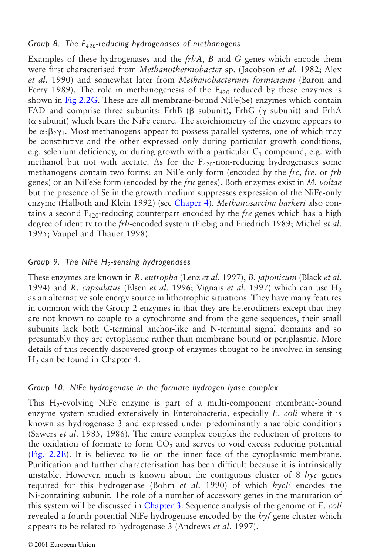#### *Group 8. The F420-reducing hydrogenases of methanogens*

Examples of these hydrogenases and the *frhA*, *B* and *G* genes which encode them were first characterised from *Methanothermobacter* sp. (Jacobson *et al*. 1982; Alex *et al*. 1990) and somewhat later from *Methanobacterium formicicum* (Baron and Ferry 1989). The role in methanogenesis of the  $F_{420}$  reduced by these enzymes is shown in [Fig 2.2G.](#page-9-0) These are all membrane-bound NiFe(Se) enzymes which contain FAD and comprise three subunits: FrhB  $(\beta$  subunit), FrhG ( $\gamma$  subunit) and FrhA  $(\alpha$  subunit) which bears the NiFe centre. The stoichiometry of the enzyme appears to be  $\alpha_2 \beta_2 \gamma_1$ . Most methanogens appear to possess parallel systems, one of which may be constitutive and the other expressed only during particular growth conditions, e.g. selenium deficiency, or during growth with a particular  $C_1$  compound, e.g. with methanol but not with acetate. As for the  $F_{420}$ -non-reducing hydrogenases some methanogens contain two forms: an NiFe only form (encoded by the *frc*, *fre*, or *frh* genes) or an NiFeSe form (encoded by the *fru* genes). Both enzymes exist in *M. voltae* but the presence of Se in the growth medium suppresses expression of the NiFe-only enzyme (Halboth and Klein 1992) (see Chaper 4). *Methanosarcina barkeri* also contains a second F420-reducing counterpart encoded by the *fre* genes which has a high degree of identity to the *frh*-encoded system (Fiebig and Friedrich 1989; Michel *et al*. 1995; Vaupel and Thauer 1998).

#### *Group 9. The NiFe H<sub>2</sub>-sensing hydrogenases*

These enzymes are known in *R. eutropha* (Lenz *et al*. 1997), *B. japonicum* (Black *et al*. 1994) and *R. capsulatus* (Elsen *et al.* 1996; Vignais *et al.* 1997) which can use H<sub>2</sub> as an alternative sole energy source in lithotrophic situations. They have many features in common with the Group 2 enzymes in that they are heterodimers except that they are not known to couple to a cytochrome and from the gene sequences, their small subunits lack both C-terminal anchor-like and N-terminal signal domains and so presumably they are cytoplasmic rather than membrane bound or periplasmic. More details of this recently discovered group of enzymes thought to be involved in sensing  $H<sub>2</sub>$  can be found in Chapter 4.

#### *Group 10. NiFe hydrogenase in the formate hydrogen lyase complex*

This  $H_2$ -evolving NiFe enzyme is part of a multi-component membrane-bound enzyme system studied extensively in Enterobacteria, especially *E. coli* where it is known as hydrogenase 3 and expressed under predominantly anaerobic conditions (Sawers *et al*. 1985, 1986). The entire complex couples the reduction of protons to the oxidation of formate to form  $CO<sub>2</sub>$  and serves to void excess reducing potential (Fig. [2.2E\)](#page-8-0). It is believed to lie on the inner face of the cytoplasmic membrane. Purification and further characterisation has been difficult because it is intrinsically unstable. However, much is known about the contiguous cluster of 8 *hyc* genes required for this hydrogenase (Bohm *et al*. 1990) of which *hycE* encodes the Ni-containing subunit. The role of a number of accessory genes in the maturation of this system will be discussed in Chapter 3. Sequence analysis of the genome of *E. coli* revealed a fourth potential NiFe hydrogenase encoded by the *hyf* gene cluster which appears to be related to hydrogenase 3 (Andrews *et al*. 1997).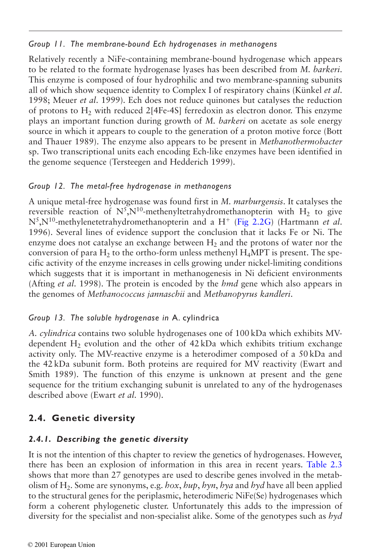### *Group 11. The membrane-bound Ech hydrogenases in methanogens*

Relatively recently a NiFe-containing membrane-bound hydrogenase which appears to be related to the formate hydrogenase lyases has been described from *M. barkeri*. This enzyme is composed of four hydrophilic and two membrane-spanning subunits all of which show sequence identity to Complex I of respiratory chains (Künkel *et al*. 1998; Meuer *et al*. 1999). Ech does not reduce quinones but catalyses the reduction of protons to  $H_2$  with reduced 2[4Fe-4S] ferredoxin as electron donor. This enzyme plays an important function during growth of *M. barkeri* on acetate as sole energy source in which it appears to couple to the generation of a proton motive force (Bott and Thauer 1989). The enzyme also appears to be present in *Methanothermobacter* sp. Two transcriptional units each encoding Ech-like enzymes have been identified in the genome sequence (Tersteegen and Hedderich 1999).

## *Group 12. The metal-free hydrogenase in methanogens*

A unique metal-free hydrogenase was found first in *M. marburgensis*. It catalyses the reversible reaction of  $N^5$ ,  $N^{10}$ -methenyltetrahydromethanopterin with H<sub>2</sub> to give N<sup>5</sup>,N<sup>10</sup>-methylenetetrahydromethanopterin and a H<sup>+</sup> [\(Fig 2.2G](#page-9-0)) (Hartmann *et al.* 1996). Several lines of evidence support the conclusion that it lacks Fe or Ni. The enzyme does not catalyse an exchange between  $H_2$  and the protons of water nor the conversion of para  $H_2$  to the ortho-form unless methenyl  $H_4MPT$  is present. The specific activity of the enzyme increases in cells growing under nickel-limiting conditions which suggests that it is important in methanogenesis in Ni deficient environments (Afting *et al*. 1998). The protein is encoded by the *hmd* gene which also appears in the genomes of *Methanococcus jannaschii* and *Methanopyrus kandleri*.

## *Group 13. The soluble hydrogenase in* A. cylindrica

*A. cylindrica* contains two soluble hydrogenases one of 100 kDa which exhibits MVdependent  $H_2$  evolution and the other of  $42 \text{ kDa}$  which exhibits tritium exchange activity only. The MV-reactive enzyme is a heterodimer composed of a 50 kDa and the 42 kDa subunit form. Both proteins are required for MV reactivity (Ewart and Smith 1989). The function of this enzyme is unknown at present and the gene sequence for the tritium exchanging subunit is unrelated to any of the hydrogenases described above (Ewart *et al*. 1990).

# **2.4. Genetic diversity**

# *2.4.1. Describing the genetic diversity*

It is not the intention of this chapter to review the genetics of hydrogenases. However, there has been an explosion of information in this area in recent years. [Table 2.3](#page-14-0) shows that more than 27 genotypes are used to describe genes involved in the metabolism of H2. Some are synonyms, e.g. *hox*, *hup*, *hyn*, *hya* and *hyd* have all been applied to the structural genes for the periplasmic, heterodimeric NiFe(Se) hydrogenases which form a coherent phylogenetic cluster. Unfortunately this adds to the impression of diversity for the specialist and non-specialist alike. Some of the genotypes such as *hyd*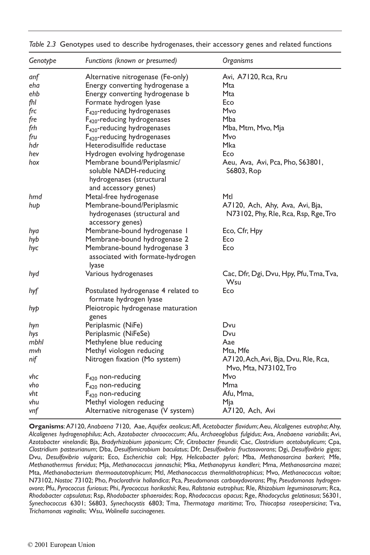| Genotype | Functions (known or presumed)                                                                            | Organisms                                                               |
|----------|----------------------------------------------------------------------------------------------------------|-------------------------------------------------------------------------|
| anf      | Alternative nitrogenase (Fe-only)                                                                        | Avi, A7120, Rca, Rru                                                    |
| eha      | Energy converting hydrogenase a                                                                          | Mta                                                                     |
| ehb      | Energy converting hydrogenase b                                                                          | Mta                                                                     |
| fhl      | Formate hydrogen lyase                                                                                   | Eco                                                                     |
| frc      | F <sub>420</sub> -reducing hydrogenases                                                                  | Mvo                                                                     |
| fre      | F <sub>420</sub> -reducing hydrogenases                                                                  | Mba                                                                     |
| frh      | F <sub>420</sub> -reducing hydrogenases                                                                  | Mba, Mtm, Mvo, Mja                                                      |
| fru      | F <sub>420</sub> -reducing hydrogenases                                                                  | Mvo                                                                     |
| hdr      | Heterodisulfide reductase                                                                                | Mka                                                                     |
| hev      | Hydrogen evolving hydrogenase                                                                            | Eco                                                                     |
| hox      | Membrane bound/Periplasmic/<br>soluble NADH-reducing<br>hydrogenases (structural<br>and accessory genes) | Aeu, Ava, Avi, Pca, Pho, S63801,<br>S6803, Rop                          |
| hmd      | Metal-free hydrogenase                                                                                   | Mtl                                                                     |
| huþ      | Membrane-bound/Periplasmic<br>hydrogenases (structural and<br>accessory genes)                           | A7120, Ach, Ahy, Ava, Avi, Bja,<br>N73102, Phy, RIe, Rca, Rsp, Rge, Tro |
| hya      | Membrane-bound hydrogenase I                                                                             | Eco, Cfr, Hpy                                                           |
| hyb      | Membrane-bound hydrogenase 2                                                                             | Eco                                                                     |
| hyc      | Membrane-bound hydrogenase 3<br>associated with formate-hydrogen<br>lyase                                | Eco                                                                     |
| hyd      | Various hydrogenases                                                                                     | Cac, Dfr, Dgi, Dvu, Hpy, Pfu, Tma, Tva,<br>Wsu                          |
| hyf      | Postulated hydrogenase 4 related to<br>formate hydrogen lyase                                            | Eco                                                                     |
| hyþ      | Pleiotropic hydrogenase maturation<br>genes                                                              |                                                                         |
| hyn      | Periplasmic (NiFe)                                                                                       | Dvu                                                                     |
| hys      | Periplasmic (NiFeSe)                                                                                     | Dvu                                                                     |
| mbhl     | Methylene blue reducing                                                                                  | Aae                                                                     |
| mvh      | Methyl viologen reducing                                                                                 | Mta, Mfe                                                                |
| nif      | Nitrogen fixation (Mo system)                                                                            | A7120, Ach, Avi, Bja, Dvu, Rle, Rca,<br>Mvo, Mta, N73102, Tro           |
| vhc      | $F_{420}$ non-reducing                                                                                   | Mvo                                                                     |
| vho      | $F_{420}$ non-reducing                                                                                   | Mma                                                                     |
| vht      | $F_{420}$ non-reducing                                                                                   | Afu, Mma,                                                               |
| vhu      | Methyl viologen reducing                                                                                 | Mja                                                                     |
| vnf      | Alternative nitrogenase (V system)                                                                       | A7120, Ach, Avi                                                         |

<span id="page-14-0"></span>*Table 2.3* Genotypes used to describe hydrogenases, their accessory genes and related functions

**Organisms**:A7120, *Anabaena* 7120, Aae, *Aquifex aeolicus*;Afl, *Acetobacter flavidum*;Aeu, *Alcaligenes eutropha*;Ahy, *Alcaligenes hydrogenophilus*; Ach, *Azotobacter chroococcum*; Afu, *Archaeoglobus fulgidus*; Ava, *Anabaena variabilis*; Avi, *Azotobacter vinelandii*; Bja, *Bradyrhizobium japonicum*; Cfr, *Citrobacter freundii*; Cac, *Clostridium acetobutylicum*; Cpa, *Clostridium pasteurianum*; Dba, *Desulfomicrobium baculatus*; Dfr, *Desulfovibrio fructosovorans*; Dgi, *Desulfovibrio gigas*; Dvu, *Desulfovibrio vulgaris*; Eco, *Escherichia coli*; Hpy, *Helicobacter pylori*; Mba, *Methanosarcina barkeri*; Mfe, *Methanothermus fervidus*; Mja, *Methanococcus jannaschii*; Mka, *Methanopyrus kandleri*; Mma, *Methanosarcina mazei*; Mta, *Methanobacterium thermoautotrophicum*; Mtl, *Methanococcus thermolithotrophicus*; Mvo, *Methanococcus voltae*; N73102, *Nostoc* 73102; Pho, *Proclorothrix hollandica*; Pca, *Pseudomonas carboxydovorans*; Phy, *Pseudomonas hydrogenovora*; Pfu, *Pyrococcus furiosus*; Phi, *Pyrococcus horikoshii*; Reu, *Ralstonia eutrophus*; Rle, *Rhizobium leguminosarum*; Rca, *Rhodobacter capsulatus*; Rsp, *Rhodobacter sphaeroides*; Rop, *Rhodococcus opacus*; Rge, *Rhodocyclus gelatinosus*; S6301, *Synechococcus* 6301; S6803, *Synechocystis* 6803; Tma, *Thermotoga maritima*; Tro, *Thiocapsa roseopersicina*; Tva, *Trichomonas vaginalis*; Wsu, *Wolinella succinogenes.*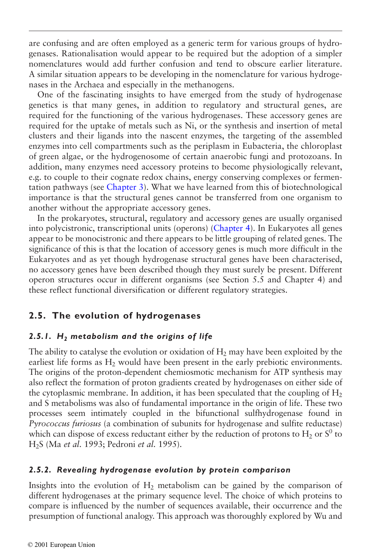are confusing and are often employed as a generic term for various groups of hydrogenases. Rationalisation would appear to be required but the adoption of a simpler nomenclatures would add further confusion and tend to obscure earlier literature. A similar situation appears to be developing in the nomenclature for various hydrogenases in the Archaea and especially in the methanogens.

One of the fascinating insights to have emerged from the study of hydrogenase genetics is that many genes, in addition to regulatory and structural genes, are required for the functioning of the various hydrogenases. These accessory genes are required for the uptake of metals such as Ni, or the synthesis and insertion of metal clusters and their ligands into the nascent enzymes, the targeting of the assembled enzymes into cell compartments such as the periplasm in Eubacteria, the chloroplast of green algae, or the hydrogenosome of certain anaerobic fungi and protozoans. In addition, many enzymes need accessory proteins to become physiologically relevant, e.g. to couple to their cognate redox chains, energy conserving complexes or fermentation pathways (see Chapter 3). What we have learned from this of biotechnological importance is that the structural genes cannot be transferred from one organism to another without the appropriate accessory genes.

In the prokaryotes, structural, regulatory and accessory genes are usually organised into polycistronic, transcriptional units (operons) (Chapter 4). In Eukaryotes all genes appear to be monocistronic and there appears to be little grouping of related genes. The significance of this is that the location of accessory genes is much more difficult in the Eukaryotes and as yet though hydrogenase structural genes have been characterised, no accessory genes have been described though they must surely be present. Different operon structures occur in different organisms (see Section 5.5 and Chapter 4) and these reflect functional diversification or different regulatory strategies.

# **2.5. The evolution of hydrogenases**

#### *2.5.1. H2 metabolism and the origins of life*

The ability to catalyse the evolution or oxidation of  $H_2$  may have been exploited by the earliest life forms as  $H_2$  would have been present in the early prebiotic environments. The origins of the proton-dependent chemiosmotic mechanism for ATP synthesis may also reflect the formation of proton gradients created by hydrogenases on either side of the cytoplasmic membrane. In addition, it has been speculated that the coupling of  $H_2$ and S metabolisms was also of fundamental importance in the origin of life. These two processes seem intimately coupled in the bifunctional sulfhydrogenase found in *Pyrococcus furiosus* (a combination of subunits for hydrogenase and sulfite reductase) which can dispose of excess reductant either by the reduction of protons to  $H_2$  or  $S^0$  to H2S (Ma *et al*. 1993; Pedroni *et al*. 1995).

#### *2.5.2. Revealing hydrogenase evolution by protein comparison*

Insights into the evolution of  $H_2$  metabolism can be gained by the comparison of different hydrogenases at the primary sequence level. The choice of which proteins to compare is influenced by the number of sequences available, their occurrence and the presumption of functional analogy. This approach was thoroughly explored by Wu and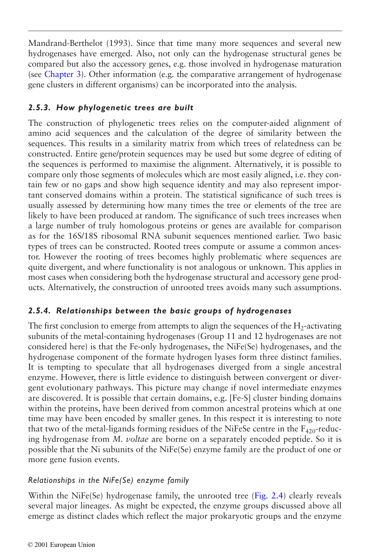Mandrand-Berthelot (1993). Since that time many more sequences and several new hydrogenases have emerged. Also, not only can the hydrogenase structural genes be compared but also the accessory genes, e.g. those involved in hydrogenase maturation (see Chapter 3). Other information (e.g. the comparative arrangement of hydrogenase gene clusters in different organisms) can be incorporated into the analysis.

## *2.5.3. How phylogenetic trees are built*

The construction of phylogenetic trees relies on the computer-aided alignment of amino acid sequences and the calculation of the degree of similarity between the sequences. This results in a similarity matrix from which trees of relatedness can be constructed. Entire gene/protein sequences may be used but some degree of editing of the sequences is performed to maximise the alignment. Alternatively, it is possible to compare only those segments of molecules which are most easily aligned, i.e. they contain few or no gaps and show high sequence identity and may also represent important conserved domains within a protein. The statistical significance of such trees is usually assessed by determining how many times the tree or elements of the tree are likely to have been produced at random. The significance of such trees increases when a large number of truly homologous proteins or genes are available for comparison as for the 16S/18S ribosomal RNA subunit sequences mentioned earlier. Two basic types of trees can be constructed. Rooted trees compute or assume a common ancestor. However the rooting of trees becomes highly problematic where sequences are quite divergent, and where functionality is not analogous or unknown. This applies in most cases when considering both the hydrogenase structural and accessory gene products. Alternatively, the construction of unrooted trees avoids many such assumptions.

## *2.5.4. Relationships between the basic groups of hydrogenases*

The first conclusion to emerge from attempts to align the sequences of the  $H_2$ -activating subunits of the metal-containing hydrogenases (Group 11 and 12 hydrogenases are not considered here) is that the Fe-only hydrogenases, the NiFe(Se) hydrogenases, and the hydrogenase component of the formate hydrogen lyases form three distinct families. It is tempting to speculate that all hydrogenases diverged from a single ancestral enzyme. However, there is little evidence to distinguish between convergent or divergent evolutionary pathways. This picture may change if novel intermediate enzymes are discovered. It is possible that certain domains, e.g. [Fe-S] cluster binding domains within the proteins, have been derived from common ancestral proteins which at one time may have been encoded by smaller genes. In this respect it is interesting to note that two of the metal-ligands forming residues of the NiFeSe centre in the  $F_{420}$ -reducing hydrogenase from *M. voltae* are borne on a separately encoded peptide. So it is possible that the Ni subunits of the NiFe(Se) enzyme family are the product of one or more gene fusion events.

#### *Relationships in the NiFe(Se) enzyme family*

Within the NiFe(Se) hydrogenase family, the unrooted tree [\(Fig. 2.4](#page-17-0)) clearly reveals several major lineages. As might be expected, the enzyme groups discussed above all emerge as distinct clades which reflect the major prokaryotic groups and the enzyme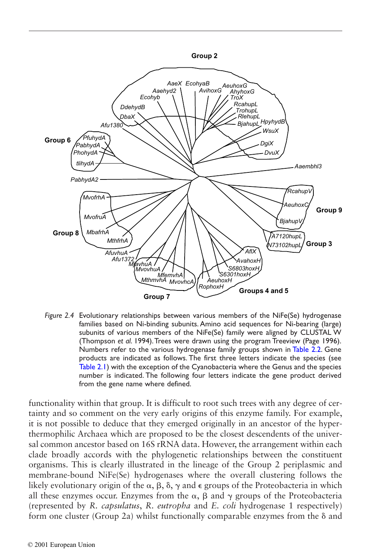<span id="page-17-0"></span>

*Figure 2.4* Evolutionary relationships between various members of the NiFe(Se) hydrogenase families based on Ni-binding subunits. Amino acid sequences for Ni-bearing (large) subunits of various members of the NiFe(Se) family were aligned by CLUSTAL W (Thompson *et al*. 1994).Trees were drawn using the program Treeview (Page 1996). Numbers refer to the various hydrogenase family groups shown in [Table 2.2.](#page-4-0) Gene products are indicated as follows. The first three letters indicate the species (see [Table 2.1](#page-1-0)) with the exception of the Cyanobacteria where the Genus and the species number is indicated. The following four letters indicate the gene product derived from the gene name where defined.

functionality within that group. It is difficult to root such trees with any degree of certainty and so comment on the very early origins of this enzyme family. For example, it is not possible to deduce that they emerged originally in an ancestor of the hyperthermophilic Archaea which are proposed to be the closest descendents of the universal common ancestor based on 16S rRNA data. However, the arrangement within each clade broadly accords with the phylogenetic relationships between the constituent organisms. This is clearly illustrated in the lineage of the Group 2 periplasmic and membrane-bound NiFe(Se) hydrogenases where the overall clustering follows the likely evolutionary origin of the  $\alpha$ ,  $\beta$ ,  $\delta$ ,  $\gamma$  and  $\epsilon$  groups of the Proteobacteria in which all these enzymes occur. Enzymes from the  $\alpha$ ,  $\beta$  and  $\gamma$  groups of the Proteobacteria (represented by *R. capsulatus*, *R. eutropha* and *E. coli* hydrogenase 1 respectively) form one cluster (Group 2a) whilst functionally comparable enzymes from the  $\delta$  and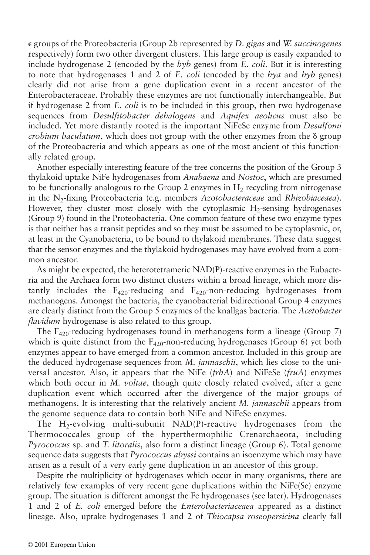groups of the Proteobacteria (Group 2b represented by *D. gigas* and *W. succinogenes* respectively) form two other divergent clusters. This large group is easily expanded to include hydrogenase 2 (encoded by the *hyb* genes) from *E. coli*. But it is interesting to note that hydrogenases 1 and 2 of *E. coli* (encoded by the *hya* and *hyb* genes) clearly did not arise from a gene duplication event in a recent ancestor of the Enterobacteraceae. Probably these enzymes are not functionally interchangeable. But if hydrogenase 2 from *E. coli* is to be included in this group, then two hydrogenase sequences from *Desulfitobacter dehalogens* and *Aquifex aeolicus* must also be included. Yet more distantly rooted is the important NiFeSe enzyme from *Desulfomi crobium baculatum*, which does not group with the other enzymes from the  $\delta$  group of the Proteobacteria and which appears as one of the most ancient of this functionally related group.

Another especially interesting feature of the tree concerns the position of the Group 3 thylakoid uptake NiFe hydrogenases from *Anabaena* and *Nostoc*, which are presumed to be functionally analogous to the Group 2 enzymes in  $H_2$  recycling from nitrogenase in the N2-fixing Proteobacteria (e.g. members *Azotobacteraceae* and *Rhizobiaceaea*). However, they cluster most closely with the cytoplasmic  $H_2$ -sensing hydrogenases (Group 9) found in the Proteobacteria. One common feature of these two enzyme types is that neither has a transit peptides and so they must be assumed to be cytoplasmic, or, at least in the Cyanobacteria, to be bound to thylakoid membranes. These data suggest that the sensor enzymes and the thylakoid hydrogenases may have evolved from a common ancestor.

As might be expected, the heterotetrameric NAD(P)-reactive enzymes in the Eubacteria and the Archaea form two distinct clusters within a broad lineage, which more distantly includes the  $F_{420}$ -reducing and  $F_{420}$ -non-reducing hydrogenases from methanogens. Amongst the bacteria, the cyanobacterial bidirectional Group 4 enzymes are clearly distinct from the Group 5 enzymes of the knallgas bacteria. The *Acetobacter flavidum* hydrogenase is also related to this group.

The  $F_{420}$ -reducing hydrogenases found in methanogens form a lineage (Group 7) which is quite distinct from the  $F_{420}$ -non-reducing hydrogenases (Group 6) yet both enzymes appear to have emerged from a common ancestor. Included in this group are the deduced hydrogenase sequences from *M. jannaschii*, which lies close to the universal ancestor. Also, it appears that the NiFe (*frhA*) and NiFeSe (*fruA*) enzymes which both occur in *M. voltae*, though quite closely related evolved, after a gene duplication event which occurred after the divergence of the major groups of methanogens. It is interesting that the relatively ancient *M. jannaschii* appears from the genome sequence data to contain both NiFe and NiFeSe enzymes.

The  $H_2$ -evolving multi-subunit  $NAD(P)$ -reactive hydrogenases from the Thermococcales group of the hyperthermophilic Crenarchaeota, including *Pyrococcus* sp. and *T. litoralis*, also form a distinct lineage (Group 6). Total genome sequence data suggests that *Pyrococcus abyssi* contains an isoenzyme which may have arisen as a result of a very early gene duplication in an ancestor of this group.

Despite the multiplicity of hydrogenases which occur in many organisms, there are relatively few examples of very recent gene duplications within the NiFe(Se) enzyme group. The situation is different amongst the Fe hydrogenases (see later). Hydrogenases 1 and 2 of *E. coli* emerged before the *Enterobacteriaceaea* appeared as a distinct lineage. Also, uptake hydrogenases 1 and 2 of *Thiocapsa roseopersicina* clearly fall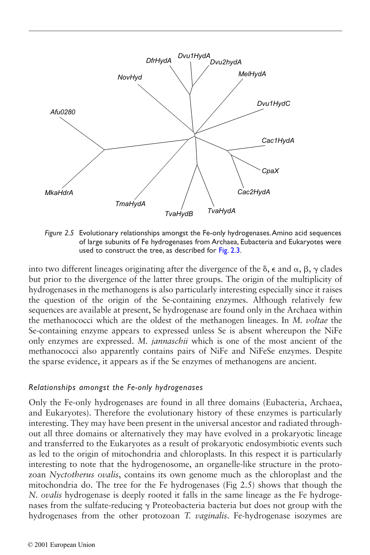

*Figure 2.5* Evolutionary relationships amongst the Fe-only hydrogenases.Amino acid sequences of large subunits of Fe hydrogenases from Archaea, Eubacteria and Eukaryotes were used to construct the tree, as described for [Fig. 2.3.](#page-10-0)

into two different lineages originating after the divergence of the  $\delta$ ,  $\epsilon$  and  $\alpha$ ,  $\beta$ ,  $\gamma$  clades but prior to the divergence of the latter three groups. The origin of the multiplicity of hydrogenases in the methanogens is also particularly interesting especially since it raises the question of the origin of the Se-containing enzymes. Although relatively few sequences are available at present, Se hydrogenase are found only in the Archaea within the methanococci which are the oldest of the methanogen lineages. In *M. voltae* the Se-containing enzyme appears to expressed unless Se is absent whereupon the NiFe only enzymes are expressed. *M. jannaschii* which is one of the most ancient of the methanococci also apparently contains pairs of NiFe and NiFeSe enzymes. Despite the sparse evidence, it appears as if the Se enzymes of methanogens are ancient.

#### *Relationships amongst the Fe-only hydrogenases*

Only the Fe-only hydrogenases are found in all three domains (Eubacteria, Archaea, and Eukaryotes). Therefore the evolutionary history of these enzymes is particularly interesting. They may have been present in the universal ancestor and radiated throughout all three domains or alternatively they may have evolved in a prokaryotic lineage and transferred to the Eukaryotes as a result of prokaryotic endosymbiotic events such as led to the origin of mitochondria and chloroplasts. In this respect it is particularly interesting to note that the hydrogenosome, an organelle-like structure in the protozoan *Nyctotherus ovalis*, contains its own genome much as the chloroplast and the mitochondria do. The tree for the Fe hydrogenases (Fig 2.5) shows that though the *N. ovalis* hydrogenase is deeply rooted it falls in the same lineage as the Fe hydrogenases from the sulfate-reducing  $\gamma$  Proteobacteria bacteria but does not group with the hydrogenases from the other protozoan *T. vaginalis*. Fe-hydrogenase isozymes are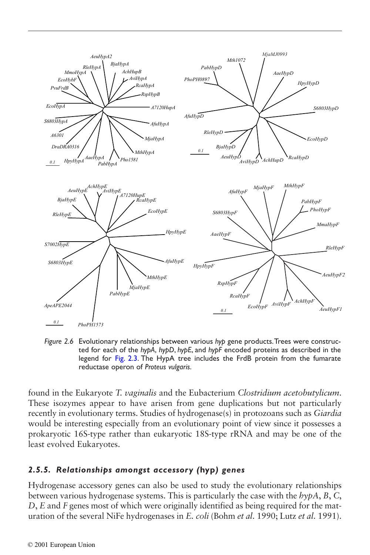<span id="page-20-0"></span>

*Figure 2.6* Evolutionary relationships between various *hyp* gene products.Trees were constructed for each of the *hypA*, *hypD*, *hypE*, and *hypF* encoded proteins as described in the legend for [Fig. 2.3.](#page-10-0) The HypA tree includes the FrdB protein from the fumarate reductase operon of *Proteus vulgaris*.

found in the Eukaryote *T. vaginalis* and the Eubacterium *Clostridium acetobutylicum*. These isozymes appear to have arisen from gene duplications but not particularly recently in evolutionary terms. Studies of hydrogenase(s) in protozoans such as *Giardia* would be interesting especially from an evolutionary point of view since it possesses a prokaryotic 16S-type rather than eukaryotic 18S-type rRNA and may be one of the least evolved Eukaryotes.

#### *2.5.5. Relationships amongst accessory (***hyp***) genes*

Hydrogenase accessory genes can also be used to study the evolutionary relationships between various hydrogenase systems. This is particularly the case with the *hypA*, *B*, *C*, *D*, *E* and *F* genes most of which were originally identified as being required for the maturation of the several NiFe hydrogenases in *E. coli* (Bohm *et al*. 1990; Lutz *et al*. 1991).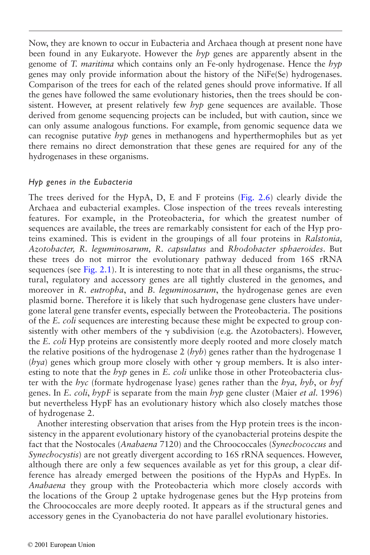Now, they are known to occur in Eubacteria and Archaea though at present none have been found in any Eukaryote. However the *hyp* genes are apparently absent in the genome of *T. maritima* which contains only an Fe-only hydrogenase. Hence the *hyp* genes may only provide information about the history of the NiFe(Se) hydrogenases. Comparison of the trees for each of the related genes should prove informative. If all the genes have followed the same evolutionary histories, then the trees should be consistent. However, at present relatively few *hyp* gene sequences are available. Those derived from genome sequencing projects can be included, but with caution, since we can only assume analogous functions. For example, from genomic sequence data we can recognise putative *hyp* genes in methanogens and hyperthermophiles but as yet there remains no direct demonstration that these genes are required for any of the hydrogenases in these organisms.

#### *Hyp genes in the Eubacteria*

The trees derived for the HypA, D, E and F proteins [\(Fig. 2.6\)](#page-20-0) clearly divide the Archaea and eubacterial examples. Close inspection of the trees reveals interesting features. For example, in the Proteobacteria, for which the greatest number of sequences are available, the trees are remarkably consistent for each of the Hyp proteins examined. This is evident in the groupings of all four proteins in *Ralstonia, Azotobacter, R. leguminosarum, R. capsulatus* and *Rhodobacter sphaeroides*. But these trees do not mirror the evolutionary pathway deduced from 16S rRNA sequences (see [Fig. 2.1](#page-3-0)). It is interesting to note that in all these organisms, the structural, regulatory and accessory genes are all tightly clustered in the genomes, and moreover in *R. eutropha*, and *B. leguminosarum*, the hydrogenase genes are even plasmid borne. Therefore it is likely that such hydrogenase gene clusters have undergone lateral gene transfer events, especially between the Proteobacteria. The positions of the *E. coli* sequences are interesting because these might be expected to group consistently with other members of the  $\gamma$  subdivision (e.g. the Azotobacters). However, the *E. coli* Hyp proteins are consistently more deeply rooted and more closely match the relative positions of the hydrogenase 2 (*hyb*) genes rather than the hydrogenase 1 (*hya*) genes which group more closely with other  $\gamma$  group members. It is also interesting to note that the *hyp* genes in *E. coli* unlike those in other Proteobacteria cluster with the *hyc* (formate hydrogenase lyase) genes rather than the *hya, hyb*, or *hyf* genes. In *E. coli*, *hypF* is separate from the main *hyp* gene cluster (Maier *et al*. 1996) but nevertheless HypF has an evolutionary history which also closely matches those of hydrogenase 2.

Another interesting observation that arises from the Hyp protein trees is the inconsistency in the apparent evolutionary history of the cyanobacterial proteins despite the fact that the Nostocales (*Anabaena* 7120) and the Chroococcales (*Synechococcus* and *Synechocystis*) are not greatly divergent according to 16S rRNA sequences. However, although there are only a few sequences available as yet for this group, a clear difference has already emerged between the positions of the HypAs and HypEs. In *Anabaena* they group with the Proteobacteria which more closely accords with the locations of the Group 2 uptake hydrogenase genes but the Hyp proteins from the Chroococcales are more deeply rooted. It appears as if the structural genes and accessory genes in the Cyanobacteria do not have parallel evolutionary histories.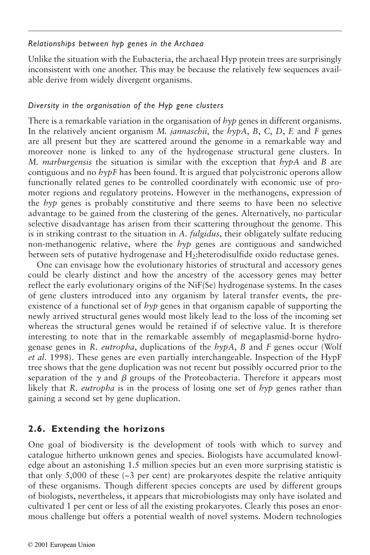#### *Relationships between hyp genes in the Archaea*

Unlike the situation with the Eubacteria, the archaeal Hyp protein trees are surprisingly inconsistent with one another. This may be because the relatively few sequences available derive from widely divergent organisms.

#### *Diversity in the organisation of the Hyp gene clusters*

There is a remarkable variation in the organisation of *hyp* genes in different organisms. In the relatively ancient organism *M. jannaschii*, the *hypA*, *B*, *C*, *D*, *E* and *F* genes are all present but they are scattered around the genome in a remarkable way and moreover none is linked to any of the hydrogenase structural gene clusters. In *M. marburgensis* the situation is similar with the exception that *hypA* and *B* are contiguous and no *hypF* has been found. It is argued that polycistronic operons allow functionally related genes to be controlled coordinately with economic use of promoter regions and regulatory proteins. However in the methanogens, expression of the *hyp* genes is probably constitutive and there seems to have been no selective advantage to be gained from the clustering of the genes. Alternatively, no particular selective disadvantage has arisen from their scattering throughout the genome. This is in striking contrast to the situation in *A. fulgidus*, their obligately sulfate reducing non-methanogenic relative, where the *hyp* genes are contiguous and sandwiched between sets of putative hydrogenase and H<sub>2</sub>:heterodisulfide oxido reductase genes.

One can envisage how the evolutionary histories of structural and accessory genes could be clearly distinct and how the ancestry of the accessory genes may better reflect the early evolutionary origins of the NiF(Se) hydrogenase systems. In the cases of gene clusters introduced into any organism by lateral transfer events, the preexistence of a functional set of *hyp* genes in that organism capable of supporting the newly arrived structural genes would most likely lead to the loss of the incoming set whereas the structural genes would be retained if of selective value. It is therefore interesting to note that in the remarkable assembly of megaplasmid-borne hydrogenase genes in *R. eutropha*, duplications of the *hypA*, *B* and *F* genes occur (Wolf *et al*. 1998). These genes are even partially interchangeable. Inspection of the HypF tree shows that the gene duplication was not recent but possibly occurred prior to the separation of the  $\gamma$  and  $\beta$  groups of the Proteobacteria. Therefore it appears most likely that *R. eutropha* is in the process of losing one set of *hyp* genes rather than gaining a second set by gene duplication.

## **2.6. Extending the horizons**

One goal of biodiversity is the development of tools with which to survey and catalogue hitherto unknown genes and species. Biologists have accumulated knowledge about an astonishing 1.5 million species but an even more surprising statistic is that only  $5,000$  of these  $\left(\sim\right)$  per cent) are prokaryotes despite the relative antiquity of these organisms. Though different species concepts are used by different groups of biologists, nevertheless, it appears that microbiologists may only have isolated and cultivated 1 per cent or less of all the existing prokaryotes. Clearly this poses an enormous challenge but offers a potential wealth of novel systems. Modern technologies